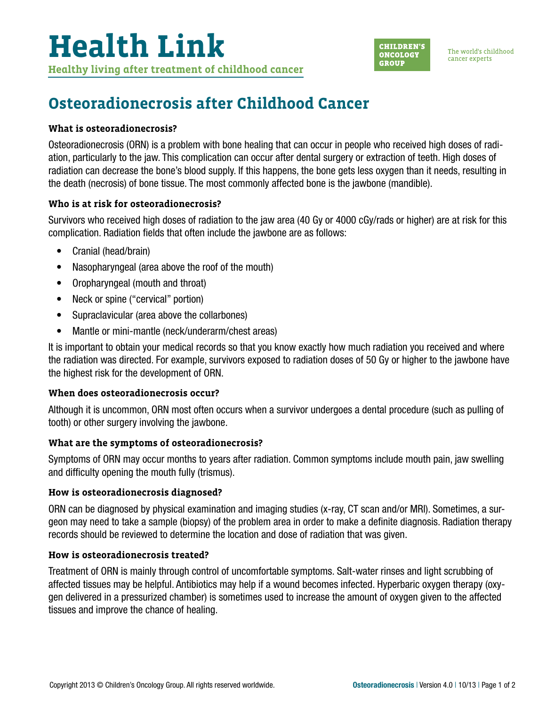

# **Osteoradionecrosis after Childhood Cancer**

# **What is osteoradionecrosis?**

Osteoradionecrosis (ORN) is a problem with bone healing that can occur in people who received high doses of radiation, particularly to the jaw. This complication can occur after dental surgery or extraction of teeth. High doses of radiation can decrease the bone's blood supply. If this happens, the bone gets less oxygen than it needs, resulting in the death (necrosis) of bone tissue. The most commonly affected bone is the jawbone (mandible).

# **Who is at risk for osteoradionecrosis?**

Survivors who received high doses of radiation to the jaw area (40 Gy or 4000 cGy/rads or higher) are at risk for this complication. Radiation fields that often include the jawbone are as follows:

- Cranial (head/brain)
- Nasopharyngeal (area above the roof of the mouth)
- Oropharyngeal (mouth and throat)
- Neck or spine ("cervical" portion)
- Supraclavicular (area above the collarbones)
- Mantle or mini-mantle (neck/underarm/chest areas)

It is important to obtain your medical records so that you know exactly how much radiation you received and where the radiation was directed. For example, survivors exposed to radiation doses of 50 Gy or higher to the jawbone have the highest risk for the development of ORN.

# **When does osteoradionecrosis occur?**

Although it is uncommon, ORN most often occurs when a survivor undergoes a dental procedure (such as pulling of tooth) or other surgery involving the jawbone.

# **What are the symptoms of osteoradionecrosis?**

Symptoms of ORN may occur months to years after radiation. Common symptoms include mouth pain, jaw swelling and difficulty opening the mouth fully (trismus).

# **How is osteoradionecrosis diagnosed?**

ORN can be diagnosed by physical examination and imaging studies (x-ray, CT scan and/or MRI). Sometimes, a surgeon may need to take a sample (biopsy) of the problem area in order to make a definite diagnosis. Radiation therapy records should be reviewed to determine the location and dose of radiation that was given.

### **How is osteoradionecrosis treated?**

Treatment of ORN is mainly through control of uncomfortable symptoms. Salt-water rinses and light scrubbing of affected tissues may be helpful. Antibiotics may help if a wound becomes infected. Hyperbaric oxygen therapy (oxygen delivered in a pressurized chamber) is sometimes used to increase the amount of oxygen given to the affected tissues and improve the chance of healing.